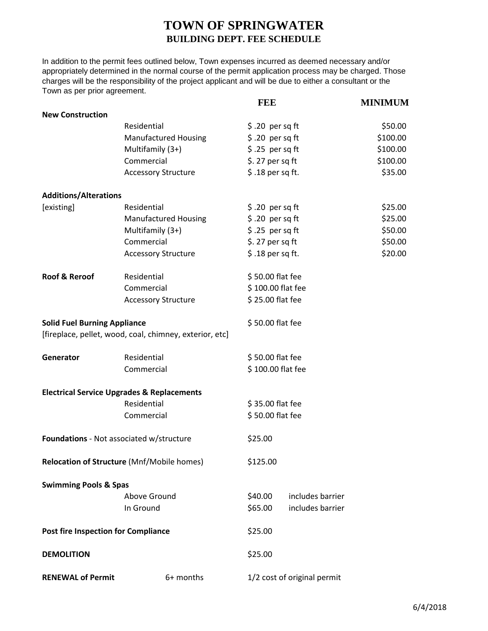## **TOWN OF SPRINGWATER BUILDING DEPT. FEE SCHEDULE**

In addition to the permit fees outlined below, Town expenses incurred as deemed necessary and/or appropriately determined in the normal course of the permit application process may be charged. Those charges will be the responsibility of the project applicant and will be due to either a consultant or the Town as per prior agreement.

|                                            |                                                         | <b>FEE</b>       |                             | <b>MINIMUM</b> |  |
|--------------------------------------------|---------------------------------------------------------|------------------|-----------------------------|----------------|--|
| <b>New Construction</b>                    |                                                         |                  |                             |                |  |
|                                            | Residential                                             | $$.20$ per sq ft |                             | \$50.00        |  |
|                                            | <b>Manufactured Housing</b>                             | \$.20 per sq ft  |                             | \$100.00       |  |
|                                            | Multifamily (3+)                                        | $$.25$ per sq ft |                             | \$100.00       |  |
|                                            | Commercial                                              | $$.27$ per sq ft |                             | \$100.00       |  |
|                                            | <b>Accessory Structure</b>                              | \$.18 per sq ft. |                             | \$35.00        |  |
| <b>Additions/Alterations</b>               |                                                         |                  |                             |                |  |
| [existing]                                 | Residential                                             |                  | $$.20$ per sq ft            |                |  |
|                                            | <b>Manufactured Housing</b>                             |                  | $$.20$ per sq ft            |                |  |
|                                            | Multifamily (3+)                                        |                  | $$.25$ per sq ft            |                |  |
|                                            | Commercial                                              | $$.27$ per sq ft |                             | \$50.00        |  |
|                                            | <b>Accessory Structure</b>                              |                  | \$.18 per sq ft.            |                |  |
| <b>Roof &amp; Reroof</b>                   | Residential                                             |                  | \$50.00 flat fee            |                |  |
|                                            | Commercial                                              |                  | \$100.00 flat fee           |                |  |
|                                            | <b>Accessory Structure</b>                              |                  | \$25.00 flat fee            |                |  |
| <b>Solid Fuel Burning Appliance</b>        |                                                         |                  | \$50.00 flat fee            |                |  |
|                                            | [fireplace, pellet, wood, coal, chimney, exterior, etc] |                  |                             |                |  |
| Generator                                  | Residential                                             |                  | \$50.00 flat fee            |                |  |
|                                            | Commercial                                              |                  | \$100.00 flat fee           |                |  |
|                                            | <b>Electrical Service Upgrades &amp; Replacements</b>   |                  |                             |                |  |
|                                            | Residential                                             |                  | \$35.00 flat fee            |                |  |
|                                            | Commercial                                              |                  | \$50.00 flat fee            |                |  |
| Foundations - Not associated w/structure   |                                                         | \$25.00          |                             |                |  |
| Relocation of Structure (Mnf/Mobile homes) |                                                         | \$125.00         |                             |                |  |
| <b>Swimming Pools &amp; Spas</b>           |                                                         |                  |                             |                |  |
|                                            | Above Ground                                            | \$40.00          | includes barrier            |                |  |
|                                            | In Ground                                               | \$65.00          | includes barrier            |                |  |
| <b>Post fire Inspection for Compliance</b> |                                                         | \$25.00          |                             |                |  |
| <b>DEMOLITION</b>                          |                                                         | \$25.00          |                             |                |  |
| <b>RENEWAL of Permit</b>                   | 6+ months                                               |                  | 1/2 cost of original permit |                |  |